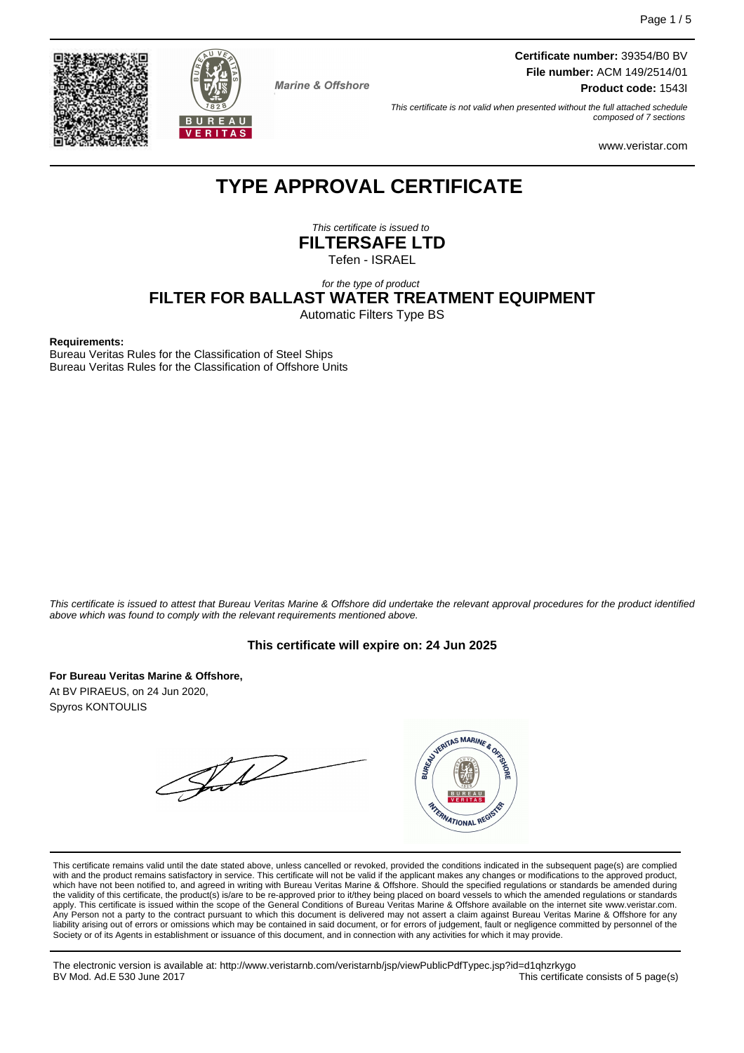



**Marine & Offshore** 

**Certificate number:** 39354/B0 BV **File number:** ACM 149/2514/01

**Product code:** 1543I

This certificate is not valid when presented without the full attached schedule composed of 7 sections

www.veristar.com

# **TYPE APPROVAL CERTIFICATE**

This certificate is issued to **FILTERSAFE LTD** Tefen - ISRAEL

# for the type of product **FILTER FOR BALLAST WATER TREATMENT EQUIPMENT**

Automatic Filters Type BS

#### **Requirements:**

Bureau Veritas Rules for the Classification of Steel Ships Bureau Veritas Rules for the Classification of Offshore Units

This certificate is issued to attest that Bureau Veritas Marine & Offshore did undertake the relevant approval procedures for the product identified above which was found to comply with the relevant requirements mentioned above.

#### **This certificate will expire on: 24 Jun 2025**

**For Bureau Veritas Marine & Offshore,** At BV PIRAEUS, on 24 Jun 2020, Spyros KONTOULIS

WYDERITAS MARINE & ORIGIN Jul



FRANATIONAL REGIS

The electronic version is available at: http://www.veristarnb.com/veristarnb/jsp/viewPublicPdfTypec.jsp?id=d1qhzrkygo This certificate consists of 5 page(s)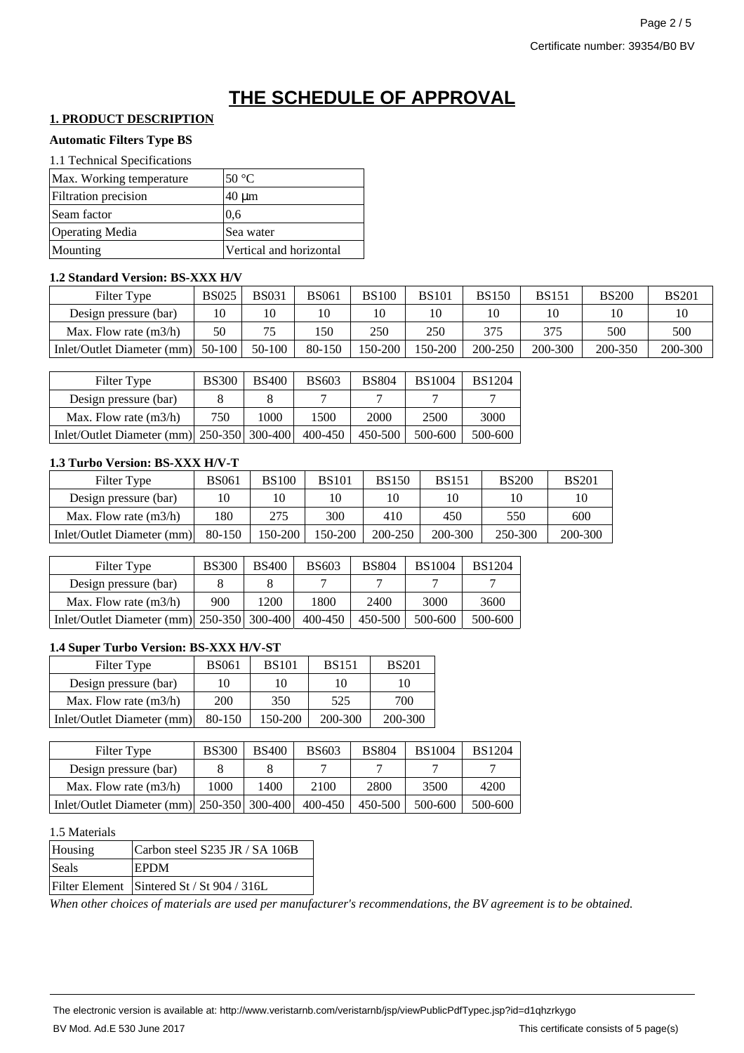# **THE SCHEDULE OF APPROVAL**

# **1. PRODUCT DESCRIPTION**

#### **Automatic Filters Type BS**

| Max. Working temperature    | $50^{\circ}$ C          |
|-----------------------------|-------------------------|
| <b>Filtration</b> precision | $40 \mu m$              |
| Seam factor                 | 0.6                     |
| <b>Operating Media</b>      | Sea water               |
| Mounting                    | Vertical and horizontal |

#### **1.2 Standard Version: BS-XXX H/V**

| Filter Type                       | <b>BS025</b> | <b>BS031</b> | BS061  | <b>BS100</b> | <b>BS101</b> | <b>BS150</b> | <b>BS151</b> | <b>BS200</b> | <b>BS201</b> |
|-----------------------------------|--------------|--------------|--------|--------------|--------------|--------------|--------------|--------------|--------------|
| Design pressure (bar)             |              |              |        |              | 10           | 10           |              | 10           |              |
| Max. Flow rate $(m3/h)$           | 50           |              | .50    | 250          | 250          | 375          |              | 500          | 500          |
| Inlet/Outlet Diameter (mm) 50-100 |              | 50-100       | 80-150 | 150-200      | 150-200      | 200-250      | 200-300      | 200-350      | 200-300      |

| Filter Type                                  | <b>BS300</b> | <b>BS400</b> | <b>BS603</b> | <b>BS804</b> | <b>BS1004</b> | <b>BS1204</b> |
|----------------------------------------------|--------------|--------------|--------------|--------------|---------------|---------------|
| Design pressure (bar)                        |              |              |              |              |               |               |
| Max. Flow rate $(m3/h)$                      | 750          | 1000         | 1500         | 2000         | 2500          | 3000          |
| Inlet/Outlet Diameter (mm) $250-350$ 300-400 |              |              | 400-450      | 450-500      | 500-600       | 500-600       |

## **1.3 Turbo Version: BS-XXX H/V-T**

| Filter Type                | <b>BS061</b> | <b>BS100</b> | <b>BS101</b> | <b>BS150</b> | <b>BS151</b> | <b>BS200</b> | <b>BS201</b> |
|----------------------------|--------------|--------------|--------------|--------------|--------------|--------------|--------------|
| Design pressure (bar)      |              | 10           | 10           |              | 10           | 10           |              |
| Max. Flow rate $(m3/h)$    | 180          | 275          | 300          | 410          | 450          | 550          | 600          |
| Inlet/Outlet Diameter (mm) | 80-150       | 150-200      | $50-200$     | 200-250      | 200-300      | 250-300      | 200-300      |

| Filter Type                                                     | <b>BS300</b> | <b>BS400</b> | <b>BS603</b> | <b>BS804</b> | <b>BS1004</b> | <b>BS1204</b> |
|-----------------------------------------------------------------|--------------|--------------|--------------|--------------|---------------|---------------|
| Design pressure (bar)                                           |              |              |              |              |               |               |
| Max. Flow rate $(m3/h)$                                         | 900          | 1200         | 1800         | 2400         | 3000          | 3600          |
| Inlet/Outlet Diameter (mm) $\left  250 - 350 \right  300 - 400$ |              |              | 400-450      | 450-500      | 500-600       | 500-600       |

#### **1.4 Super Turbo Version: BS-XXX H/V-ST**

| Filter Type                | <b>BS061</b> | <b>BS101</b> | <b>BS151</b> | <b>BS201</b> |
|----------------------------|--------------|--------------|--------------|--------------|
| Design pressure (bar)      | 10           | 10           | 10           | 10           |
| Max. Flow rate $(m3/h)$    | <b>200</b>   | 350          | 525          | 700          |
| Inlet/Outlet Diameter (mm) | 80-150       | 150-200      | 200-300      | 200-300      |

| Filter Type                                                     | <b>BS300</b> | <b>BS400</b> | <b>BS603</b> | <b>BS804</b> | <b>BS1004</b> | <b>BS1204</b> |
|-----------------------------------------------------------------|--------------|--------------|--------------|--------------|---------------|---------------|
| Design pressure (bar)                                           |              |              |              |              |               |               |
| Max. Flow rate $(m3/h)$                                         | 1000         | 1400         | 2100         | 2800         | 3500          | 4200          |
| Inlet/Outlet Diameter (mm) $\left  250 - 350 \right  300 - 400$ |              |              | 400-450      | 450-500      | 500-600       | 500-600       |

### 1.5 Materials

| Housing | Carbon steel S235 JR / SA 106B             |
|---------|--------------------------------------------|
| Seals   | <b>EPDM</b>                                |
|         | Filter Element Sintered St / St 904 / 316L |

*When other choices of materials are used per manufacturer's recommendations, the BV agreement is to be obtained.*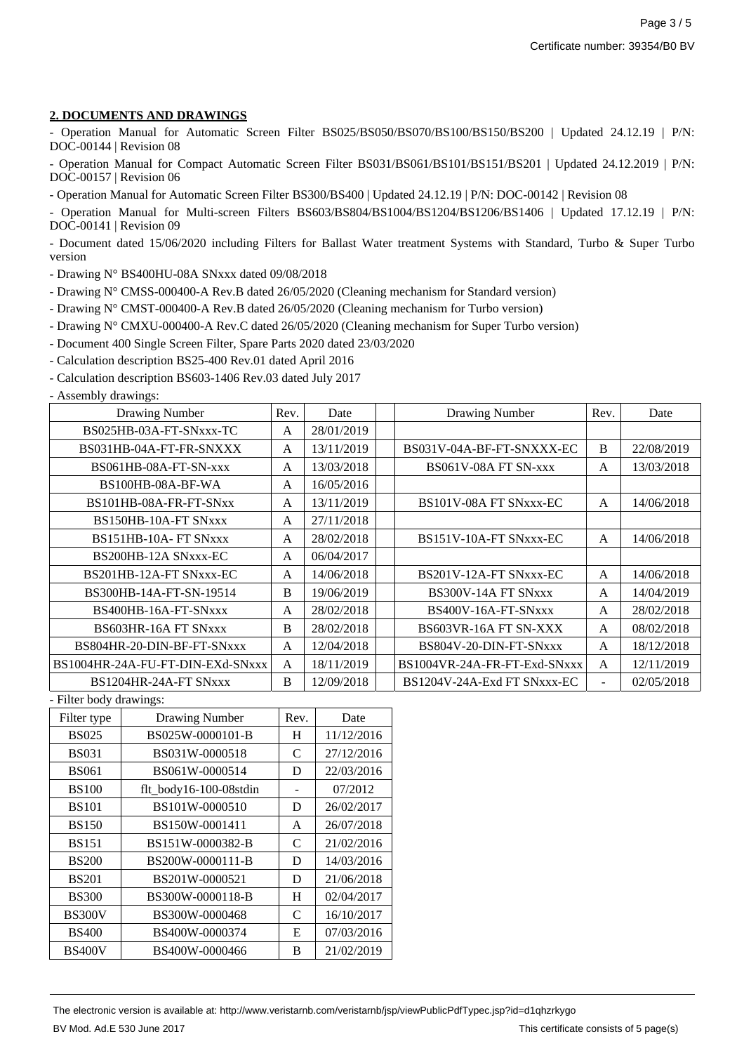#### **2. DOCUMENTS AND DRAWINGS**

- Operation Manual for Automatic Screen Filter BS025/BS050/BS070/BS100/BS150/BS200 | Updated 24.12.19 | P/N: DOC-00144 | Revision 08

- Operation Manual for Compact Automatic Screen Filter BS031/BS061/BS101/BS151/BS201 | Updated 24.12.2019 | P/N: DOC-00157 | Revision 06

- Operation Manual for Automatic Screen Filter BS300/BS400 | Updated 24.12.19 | P/N: DOC-00142 | Revision 08

- Operation Manual for Multi-screen Filters BS603/BS804/BS1004/BS1204/BS1206/BS1406 | Updated 17.12.19 | P/N: DOC-00141 | Revision 09

- Document dated 15/06/2020 including Filters for Ballast Water treatment Systems with Standard, Turbo & Super Turbo version

- Drawing N° BS400HU-08A SNxxx dated 09/08/2018

- Drawing N° CMSS-000400-A Rev.B dated 26/05/2020 (Cleaning mechanism for Standard version)

- Drawing N° CMST-000400-A Rev.B dated 26/05/2020 (Cleaning mechanism for Turbo version)

- Drawing N° CMXU-000400-A Rev.C dated 26/05/2020 (Cleaning mechanism for Super Turbo version)
- Document 400 Single Screen Filter, Spare Parts 2020 dated 23/03/2020

- Calculation description BS25-400 Rev.01 dated April 2016

- Calculation description BS603-1406 Rev.03 dated July 2017

- Assembly drawings:

| Drawing Number                   | Rev.         | Date       | Drawing Number               | Rev.                     | Date       |
|----------------------------------|--------------|------------|------------------------------|--------------------------|------------|
| BS025HB-03A-FT-SNxxx-TC          | A            | 28/01/2019 |                              |                          |            |
| BS031HB-04A-FT-FR-SNXXX          | A            | 13/11/2019 | BS031V-04A-BF-FT-SNXXX-EC    | B                        | 22/08/2019 |
| BS061HB-08A-FT-SN-xxx            | A            | 13/03/2018 | BS061V-08A FT SN-xxx         | A                        | 13/03/2018 |
| BS100HB-08A-BF-WA                | $\mathsf{A}$ | 16/05/2016 |                              |                          |            |
| BS101HB-08A-FR-FT-SNxx           | A            | 13/11/2019 | BS101V-08A FT SNxxx-EC       | A                        | 14/06/2018 |
| BS150HB-10A-FT SNxxx             | A            | 27/11/2018 |                              |                          |            |
| BS151HB-10A-FT SNxxx             | A            | 28/02/2018 | BS151V-10A-FT SNxxx-EC       | A                        | 14/06/2018 |
| BS200HB-12A SNxxx-EC             | A            | 06/04/2017 |                              |                          |            |
| BS201HB-12A-FT SNxxx-EC          | $\mathsf{A}$ | 14/06/2018 | BS201V-12A-FT SNxxx-EC       | A                        | 14/06/2018 |
| BS300HB-14A-FT-SN-19514          | B            | 19/06/2019 | BS300V-14A FT SNxxx          | A                        | 14/04/2019 |
| BS400HB-16A-FT-SNxxx             | A            | 28/02/2018 | BS400V-16A-FT-SNxxx          | A                        | 28/02/2018 |
| BS603HR-16A FT SNxxx             | B            | 28/02/2018 | BS603VR-16A FT SN-XXX        | A                        | 08/02/2018 |
| BS804HR-20-DIN-BF-FT-SNxxx       | A            | 12/04/2018 | BS804V-20-DIN-FT-SNxxx       | A                        | 18/12/2018 |
| BS1004HR-24A-FU-FT-DIN-EXd-SNxxx | $\mathsf{A}$ | 18/11/2019 | BS1004VR-24A-FR-FT-Exd-SNxxx | A                        | 12/11/2019 |
| BS1204HR-24A-FT SNxxx            | B            | 12/09/2018 | BS1204V-24A-Exd FT SNxxx-EC  | $\overline{\phantom{a}}$ | 02/05/2018 |

- Filter body drawings:

| Filter type   | <b>Drawing Number</b>  | Rev. | Date       |
|---------------|------------------------|------|------------|
| <b>BS025</b>  | BS025W-0000101-B       | H    | 11/12/2016 |
| <b>BS031</b>  | BS031W-0000518         | C    | 27/12/2016 |
| <b>BS061</b>  | BS061W-0000514         | D    | 22/03/2016 |
| <b>BS100</b>  | flt_body16-100-08stdin |      | 07/2012    |
| <b>BS101</b>  | BS101W-0000510         | D    | 26/02/2017 |
| <b>BS150</b>  | BS150W-0001411         | A    | 26/07/2018 |
| <b>BS151</b>  | BS151W-0000382-B       | C    | 21/02/2016 |
| <b>BS200</b>  | BS200W-0000111-B       | D    | 14/03/2016 |
| <b>BS201</b>  | BS201W-0000521         | D    | 21/06/2018 |
| <b>BS300</b>  | BS300W-0000118-B       | H    | 02/04/2017 |
| <b>BS300V</b> | BS300W-0000468         | C    | 16/10/2017 |
| <b>BS400</b>  | BS400W-0000374         | E    | 07/03/2016 |
| <b>BS400V</b> | BS400W-0000466         | B    | 21/02/2019 |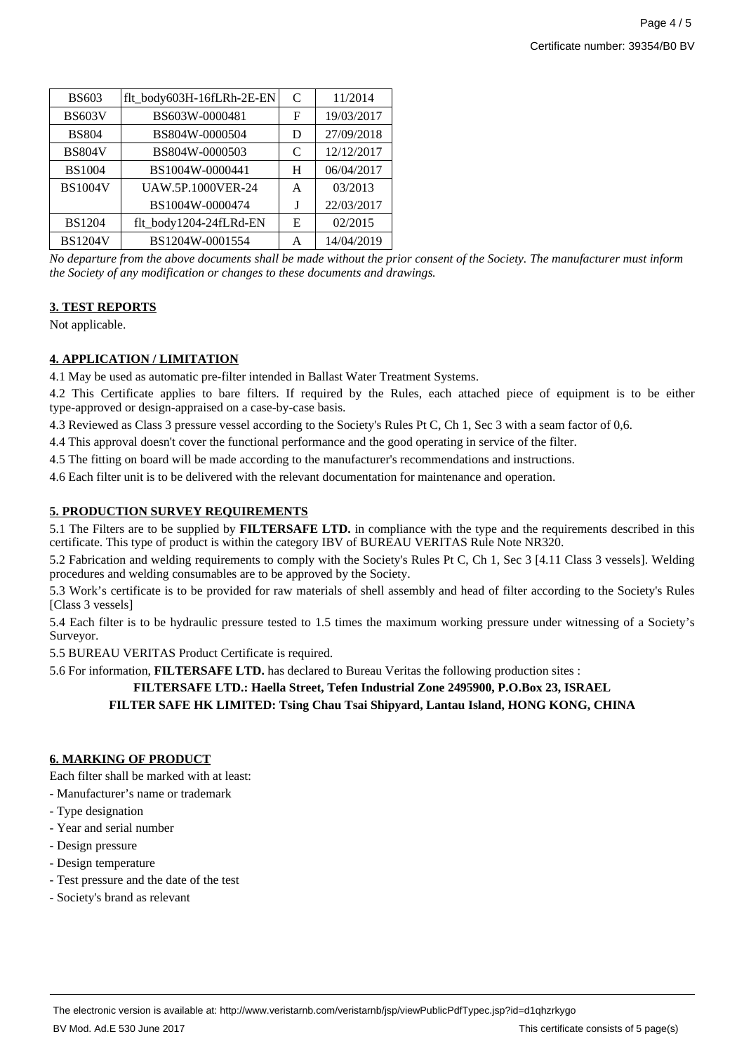| <b>BS603</b>   | flt_body603H-16fLRh-2E-EN | C | 11/2014    |
|----------------|---------------------------|---|------------|
| <b>BS603V</b>  | BS603W-0000481            | F | 19/03/2017 |
| <b>BS804</b>   | BS804W-0000504            | D | 27/09/2018 |
| <b>BS804V</b>  | BS804W-0000503            | C | 12/12/2017 |
| <b>BS1004</b>  | BS1004W-0000441           | H | 06/04/2017 |
| <b>BS1004V</b> | <b>UAW.5P.1000VER-24</b>  | A | 03/2013    |
|                | BS1004W-0000474           | J | 22/03/2017 |
| <b>BS1204</b>  | flt_body1204-24fLRd-EN    | E | 02/2015    |
| <b>BS1204V</b> | BS1204W-0001554           | A | 14/04/2019 |
|                |                           |   |            |

*No departure from the above documents shall be made without the prior consent of the Society. The manufacturer must inform the Society of any modification or changes to these documents and drawings.*

#### **3. TEST REPORTS**

Not applicable.

## **4. APPLICATION / LIMITATION**

4.1 May be used as automatic pre-filter intended in Ballast Water Treatment Systems.

4.2 This Certificate applies to bare filters. If required by the Rules, each attached piece of equipment is to be either type-approved or design-appraised on a case-by-case basis.

4.3 Reviewed as Class 3 pressure vessel according to the Society's Rules Pt C, Ch 1, Sec 3 with a seam factor of 0,6.

4.4 This approval doesn't cover the functional performance and the good operating in service of the filter.

4.5 The fitting on board will be made according to the manufacturer's recommendations and instructions.

4.6 Each filter unit is to be delivered with the relevant documentation for maintenance and operation.

#### **5. PRODUCTION SURVEY REQUIREMENTS**

5.1 The Filters are to be supplied by **FILTERSAFE LTD.** in compliance with the type and the requirements described in this certificate. This type of product is within the category IBV of BUREAU VERITAS Rule Note NR320.

5.2 Fabrication and welding requirements to comply with the Society's Rules Pt C, Ch 1, Sec 3 [4.11 Class 3 vessels]. Welding procedures and welding consumables are to be approved by the Society.

5.3 Work's certificate is to be provided for raw materials of shell assembly and head of filter according to the Society's Rules [Class 3 vessels]

5.4 Each filter is to be hydraulic pressure tested to 1.5 times the maximum working pressure under witnessing of a Society's Surveyor.

5.5 BUREAU VERITAS Product Certificate is required.

5.6 For information, **FILTERSAFE LTD.** has declared to Bureau Veritas the following production sites :

# **FILTERSAFE LTD.: Haella Street, Tefen Industrial Zone 2495900, P.O.Box 23, ISRAEL**

**FILTER SAFE HK LIMITED: Tsing Chau Tsai Shipyard, Lantau Island, HONG KONG, CHINA**

#### **6. MARKING OF PRODUCT**

Each filter shall be marked with at least:

- Manufacturer's name or trademark
- Type designation
- Year and serial number
- Design pressure
- Design temperature
- Test pressure and the date of the test
- Society's brand as relevant